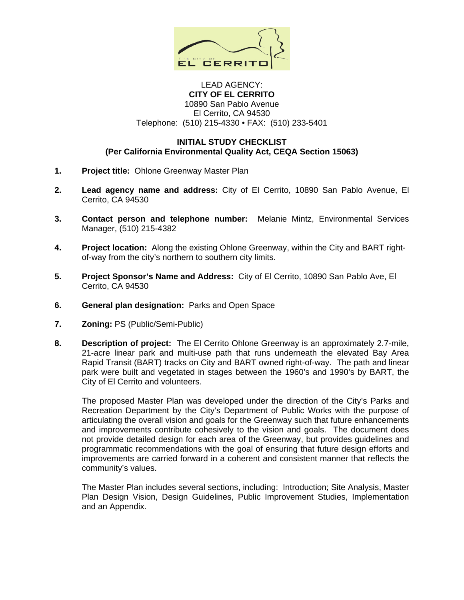

### LEAD AGENCY: **CITY OF EL CERRITO**  10890 San Pablo Avenue El Cerrito, CA 94530 Telephone: (510) 215-4330 • FAX: (510) 233-5401

### **INITIAL STUDY CHECKLIST (Per California Environmental Quality Act, CEQA Section 15063)**

- **1. Project title:** Ohlone Greenway Master Plan
- **2. Lead agency name and address:** City of El Cerrito, 10890 San Pablo Avenue, El Cerrito, CA 94530
- **3. Contact person and telephone number:** Melanie Mintz, Environmental Services Manager, (510) 215-4382
- **4. Project location:** Along the existing Ohlone Greenway, within the City and BART rightof-way from the city's northern to southern city limits.
- **5. Project Sponsor's Name and Address:** City of El Cerrito, 10890 San Pablo Ave, El Cerrito, CA 94530
- **6. General plan designation:** Parks and Open Space
- **7. Zoning:** PS (Public/Semi-Public)
- **8. Description of project:** The El Cerrito Ohlone Greenway is an approximately 2.7-mile, 21-acre linear park and multi-use path that runs underneath the elevated Bay Area Rapid Transit (BART) tracks on City and BART owned right-of-way. The path and linear park were built and vegetated in stages between the 1960's and 1990's by BART, the City of El Cerrito and volunteers.

 The proposed Master Plan was developed under the direction of the City's Parks and Recreation Department by the City's Department of Public Works with the purpose of articulating the overall vision and goals for the Greenway such that future enhancements and improvements contribute cohesively to the vision and goals. The document does not provide detailed design for each area of the Greenway, but provides guidelines and programmatic recommendations with the goal of ensuring that future design efforts and improvements are carried forward in a coherent and consistent manner that reflects the community's values.

 The Master Plan includes several sections, including: Introduction; Site Analysis, Master Plan Design Vision, Design Guidelines, Public Improvement Studies, Implementation and an Appendix.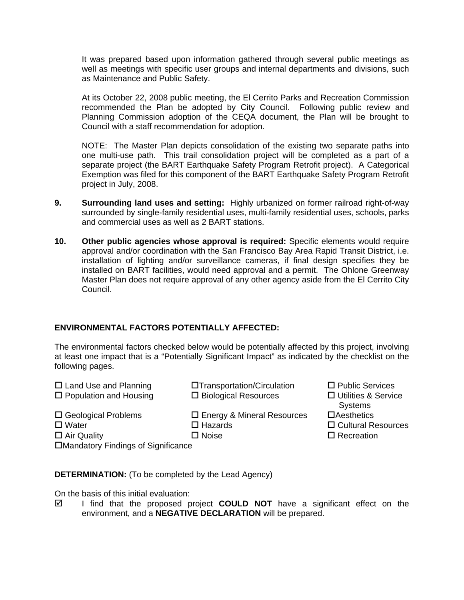It was prepared based upon information gathered through several public meetings as well as meetings with specific user groups and internal departments and divisions, such as Maintenance and Public Safety.

 At its October 22, 2008 public meeting, the El Cerrito Parks and Recreation Commission recommended the Plan be adopted by City Council. Following public review and Planning Commission adoption of the CEQA document, the Plan will be brought to Council with a staff recommendation for adoption.

 NOTE: The Master Plan depicts consolidation of the existing two separate paths into one multi-use path. This trail consolidation project will be completed as a part of a separate project (the BART Earthquake Safety Program Retrofit project). A Categorical Exemption was filed for this component of the BART Earthquake Safety Program Retrofit project in July, 2008.

- **9. Surrounding land uses and setting:** Highly urbanized on former railroad right-of-way surrounded by single-family residential uses, multi-family residential uses, schools, parks and commercial uses as well as 2 BART stations.
- **10. Other public agencies whose approval is required:** Specific elements would require approval and/or coordination with the San Francisco Bay Area Rapid Transit District, i.e. installation of lighting and/or surveillance cameras, if final design specifies they be installed on BART facilities, would need approval and a permit. The Ohlone Greenway Master Plan does not require approval of any other agency aside from the El Cerrito City Council.

# **ENVIRONMENTAL FACTORS POTENTIALLY AFFECTED:**

The environmental factors checked below would be potentially affected by this project, involving at least one impact that is a "Potentially Significant Impact" as indicated by the checklist on the following pages.

| $\Box$ Land Use and Planning  | □Transportation/Circulation       | $\Box$ Public Ser    |
|-------------------------------|-----------------------------------|----------------------|
| $\Box$ Population and Housing | $\Box$ Biological Resources       | $\Box$ Utilities & 3 |
|                               |                                   | Systems              |
| $\Box$ Geological Problems    | $\Box$ Energy & Mineral Resources | $\Box$ Aesthetics    |

 $\Box$  Public Services portation  $\Box$  Public Services gical Resources  $\Box$  Utilities & Service

- 
- **Systems**
- 
- Water Hazards Cultural Resources
- Air Quality Noise Recreation

Mandatory Findings of Significance

**DETERMINATION:** (To be completed by the Lead Agency)

On the basis of this initial evaluation:

 $\boxtimes$  I find that the proposed project **COULD NOT** have a significant effect on the environment, and a **NEGATIVE DECLARATION** will be prepared.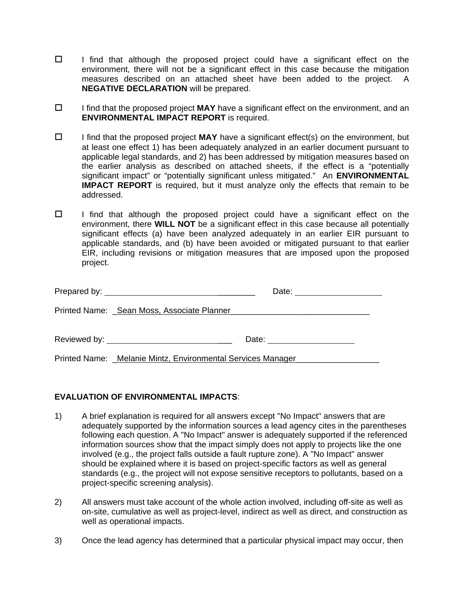- $\Box$  I find that although the proposed project could have a significant effect on the environment, there will not be a significant effect in this case because the mitigation measures described on an attached sheet have been added to the project. A **NEGATIVE DECLARATION** will be prepared.
- I find that the proposed project **MAY** have a significant effect on the environment, and an **ENVIRONMENTAL IMPACT REPORT** is required.
- $\Box$  I find that the proposed project **MAY** have a significant effect(s) on the environment, but at least one effect 1) has been adequately analyzed in an earlier document pursuant to applicable legal standards, and 2) has been addressed by mitigation measures based on the earlier analysis as described on attached sheets, if the effect is a "potentially significant impact" or "potentially significant unless mitigated." An **ENVIRONMENTAL IMPACT REPORT** is required, but it must analyze only the effects that remain to be addressed.
- $\Box$  I find that although the proposed project could have a significant effect on the environment, there **WILL NOT** be a significant effect in this case because all potentially significant effects (a) have been analyzed adequately in an earlier EIR pursuant to applicable standards, and (b) have been avoided or mitigated pursuant to that earlier EIR, including revisions or mitigation measures that are imposed upon the proposed project.

| Printed Name: _Sean Moss, Associate Planner                   |
|---------------------------------------------------------------|
|                                                               |
| Printed Name: _Melanie Mintz, Environmental Services Manager_ |

# **EVALUATION OF ENVIRONMENTAL IMPACTS**:

- 1) A brief explanation is required for all answers except "No Impact" answers that are adequately supported by the information sources a lead agency cites in the parentheses following each question. A "No Impact" answer is adequately supported if the referenced information sources show that the impact simply does not apply to projects like the one involved (e.g., the project falls outside a fault rupture zone). A "No Impact" answer should be explained where it is based on project-specific factors as well as general standards (e.g., the project will not expose sensitive receptors to pollutants, based on a project-specific screening analysis).
- 2) All answers must take account of the whole action involved, including off-site as well as on-site, cumulative as well as project-level, indirect as well as direct, and construction as well as operational impacts.
- 3) Once the lead agency has determined that a particular physical impact may occur, then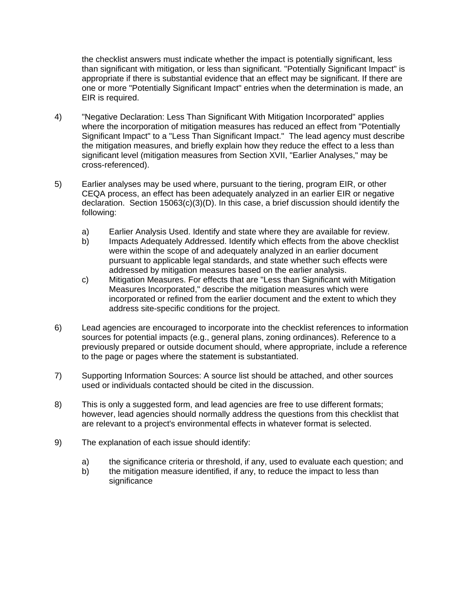the checklist answers must indicate whether the impact is potentially significant, less than significant with mitigation, or less than significant. "Potentially Significant Impact" is appropriate if there is substantial evidence that an effect may be significant. If there are one or more "Potentially Significant Impact" entries when the determination is made, an EIR is required.

- 4) "Negative Declaration: Less Than Significant With Mitigation Incorporated" applies where the incorporation of mitigation measures has reduced an effect from "Potentially Significant Impact" to a "Less Than Significant Impact." The lead agency must describe the mitigation measures, and briefly explain how they reduce the effect to a less than significant level (mitigation measures from Section XVII, "Earlier Analyses," may be cross-referenced).
- 5) Earlier analyses may be used where, pursuant to the tiering, program EIR, or other CEQA process, an effect has been adequately analyzed in an earlier EIR or negative declaration. Section  $15063(c)(3)(D)$ . In this case, a brief discussion should identify the following:
	- a) Earlier Analysis Used. Identify and state where they are available for review.
	- b) Impacts Adequately Addressed. Identify which effects from the above checklist were within the scope of and adequately analyzed in an earlier document pursuant to applicable legal standards, and state whether such effects were addressed by mitigation measures based on the earlier analysis.
	- c) Mitigation Measures. For effects that are "Less than Significant with Mitigation Measures Incorporated," describe the mitigation measures which were incorporated or refined from the earlier document and the extent to which they address site-specific conditions for the project.
- 6) Lead agencies are encouraged to incorporate into the checklist references to information sources for potential impacts (e.g., general plans, zoning ordinances). Reference to a previously prepared or outside document should, where appropriate, include a reference to the page or pages where the statement is substantiated.
- 7) Supporting Information Sources: A source list should be attached, and other sources used or individuals contacted should be cited in the discussion.
- 8) This is only a suggested form, and lead agencies are free to use different formats; however, lead agencies should normally address the questions from this checklist that are relevant to a project's environmental effects in whatever format is selected.
- 9) The explanation of each issue should identify:
	- a) the significance criteria or threshold, if any, used to evaluate each question; and
	- b) the mitigation measure identified, if any, to reduce the impact to less than significance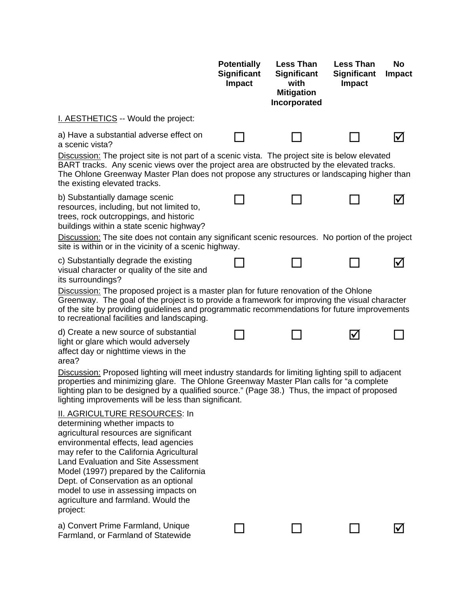|                                                                                                                                                                                                                                                                                                                                                                                                                                  | <b>Potentially</b><br><b>Significant</b><br>Impact | <b>Less Than</b><br><b>Significant</b><br>with<br><b>Mitigation</b><br>Incorporated | <b>Less Than</b><br><b>Significant</b><br>Impact | No<br><b>Impact</b> |
|----------------------------------------------------------------------------------------------------------------------------------------------------------------------------------------------------------------------------------------------------------------------------------------------------------------------------------------------------------------------------------------------------------------------------------|----------------------------------------------------|-------------------------------------------------------------------------------------|--------------------------------------------------|---------------------|
| I. AESTHETICS -- Would the project:                                                                                                                                                                                                                                                                                                                                                                                              |                                                    |                                                                                     |                                                  |                     |
| a) Have a substantial adverse effect on<br>a scenic vista?                                                                                                                                                                                                                                                                                                                                                                       |                                                    |                                                                                     |                                                  |                     |
| Discussion: The project site is not part of a scenic vista. The project site is below elevated<br>BART tracks. Any scenic views over the project area are obstructed by the elevated tracks.<br>The Ohlone Greenway Master Plan does not propose any structures or landscaping higher than<br>the existing elevated tracks.                                                                                                      |                                                    |                                                                                     |                                                  |                     |
| b) Substantially damage scenic<br>resources, including, but not limited to,<br>trees, rock outcroppings, and historic<br>buildings within a state scenic highway?                                                                                                                                                                                                                                                                |                                                    |                                                                                     |                                                  |                     |
| Discussion: The site does not contain any significant scenic resources. No portion of the project<br>site is within or in the vicinity of a scenic highway.                                                                                                                                                                                                                                                                      |                                                    |                                                                                     |                                                  |                     |
| c) Substantially degrade the existing<br>visual character or quality of the site and<br>its surroundings?                                                                                                                                                                                                                                                                                                                        |                                                    |                                                                                     |                                                  |                     |
| Discussion: The proposed project is a master plan for future renovation of the Ohlone<br>Greenway. The goal of the project is to provide a framework for improving the visual character<br>of the site by providing guidelines and programmatic recommendations for future improvements<br>to recreational facilities and landscaping.                                                                                           |                                                    |                                                                                     |                                                  |                     |
| d) Create a new source of substantial<br>light or glare which would adversely<br>affect day or nighttime views in the<br>area?                                                                                                                                                                                                                                                                                                   |                                                    |                                                                                     | I√                                               |                     |
| Discussion: Proposed lighting will meet industry standards for limiting lighting spill to adjacent<br>properties and minimizing glare. The Ohlone Greenway Master Plan calls for "a complete<br>lighting plan to be designed by a qualified source." (Page 38.) Thus, the impact of proposed<br>lighting improvements will be less than significant.                                                                             |                                                    |                                                                                     |                                                  |                     |
| <b>II. AGRICULTURE RESOURCES: In</b><br>determining whether impacts to<br>agricultural resources are significant<br>environmental effects, lead agencies<br>may refer to the California Agricultural<br><b>Land Evaluation and Site Assessment</b><br>Model (1997) prepared by the California<br>Dept. of Conservation as an optional<br>model to use in assessing impacts on<br>agriculture and farmland. Would the<br>project: |                                                    |                                                                                     |                                                  |                     |
| a) Convert Prime Farmland, Unique<br>Farmland, or Farmland of Statewide                                                                                                                                                                                                                                                                                                                                                          |                                                    |                                                                                     |                                                  |                     |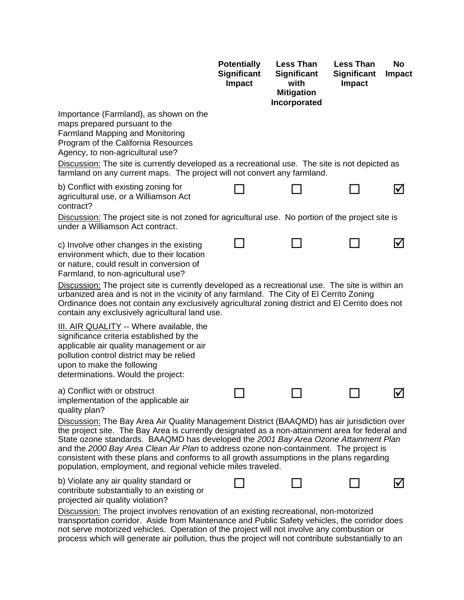|                                                                                                                                                                                                                                                                                                                                                                                                                                                                                                                                             | <b>Potentially</b><br><b>Significant</b><br>Impact | <b>Less Than</b><br><b>Significant</b><br>with<br><b>Mitigation</b> | <b>Less Than</b><br><b>Significant</b><br><b>Impact</b> | No<br><b>Impact</b> |
|---------------------------------------------------------------------------------------------------------------------------------------------------------------------------------------------------------------------------------------------------------------------------------------------------------------------------------------------------------------------------------------------------------------------------------------------------------------------------------------------------------------------------------------------|----------------------------------------------------|---------------------------------------------------------------------|---------------------------------------------------------|---------------------|
| Importance (Farmland), as shown on the<br>maps prepared pursuant to the<br><b>Farmland Mapping and Monitoring</b><br>Program of the California Resources<br>Agency, to non-agricultural use?<br>Discussion: The site is currently developed as a recreational use. The site is not depicted as<br>farmland on any current maps. The project will not convert any farmland.                                                                                                                                                                  |                                                    | Incorporated                                                        |                                                         |                     |
| b) Conflict with existing zoning for<br>agricultural use, or a Williamson Act<br>contract?<br>Discussion: The project site is not zoned for agricultural use. No portion of the project site is                                                                                                                                                                                                                                                                                                                                             |                                                    |                                                                     |                                                         | ΙV                  |
| under a Williamson Act contract.                                                                                                                                                                                                                                                                                                                                                                                                                                                                                                            |                                                    |                                                                     |                                                         |                     |
| c) Involve other changes in the existing<br>environment which, due to their location<br>or nature, could result in conversion of<br>Farmland, to non-agricultural use?                                                                                                                                                                                                                                                                                                                                                                      |                                                    |                                                                     |                                                         |                     |
| Discussion: The project site is currently developed as a recreational use. The site is within an<br>urbanized area and is not in the vicinity of any farmland. The City of El Cerrito Zoning<br>Ordinance does not contain any exclusively agricultural zoning district and El Cerrito does not<br>contain any exclusively agricultural land use.                                                                                                                                                                                           |                                                    |                                                                     |                                                         |                     |
| <b>III. AIR QUALITY</b> -- Where available, the<br>significance criteria established by the<br>applicable air quality management or air<br>pollution control district may be relied<br>upon to make the following<br>determinations. Would the project:                                                                                                                                                                                                                                                                                     |                                                    |                                                                     |                                                         |                     |
| a) Conflict with or obstruct<br>implementation of the applicable air<br>quality plan?                                                                                                                                                                                                                                                                                                                                                                                                                                                       |                                                    |                                                                     |                                                         |                     |
| Discussion: The Bay Area Air Quality Management District (BAAQMD) has air jurisdiction over<br>the project site. The Bay Area is currently designated as a non-attainment area for federal and<br>State ozone standards. BAAQMD has developed the 2001 Bay Area Ozone Attainment Plan<br>and the 2000 Bay Area Clean Air Plan to address ozone non-containment. The project is<br>consistent with these plans and conforms to all growth assumptions in the plans regarding<br>population, employment, and regional vehicle miles traveled. |                                                    |                                                                     |                                                         |                     |
| b) Violate any air quality standard or<br>contribute substantially to an existing or<br>projected air quality violation?                                                                                                                                                                                                                                                                                                                                                                                                                    |                                                    |                                                                     |                                                         |                     |
| <b>Discussion:</b> The project involves renovation of an existing recreational, non-motorized<br>transportation corridor. Aside from Maintenance and Public Safety vehicles, the corridor does<br>not serve motorized vehicles. Operation of the project will not involve any combustion or                                                                                                                                                                                                                                                 |                                                    |                                                                     |                                                         |                     |

process which will generate air pollution, thus the project will not contribute substantially to an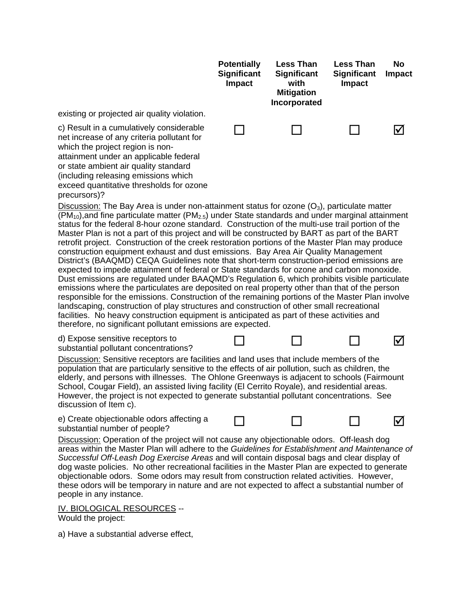

Discussion: Operation of the project will not cause any objectionable odors. Off-leash dog areas within the Master Plan will adhere to the *Guidelines for Establishment and Maintenance of Successful Off-Leash Dog Exercise Areas* and will contain disposal bags and clear display of dog waste policies. No other recreational facilities in the Master Plan are expected to generate objectionable odors. Some odors may result from construction related activities. However, these odors will be temporary in nature and are not expected to affect a substantial number of people in any instance.

#### IV. BIOLOGICAL RESOURCES --

Would the project:

a) Have a substantial adverse effect,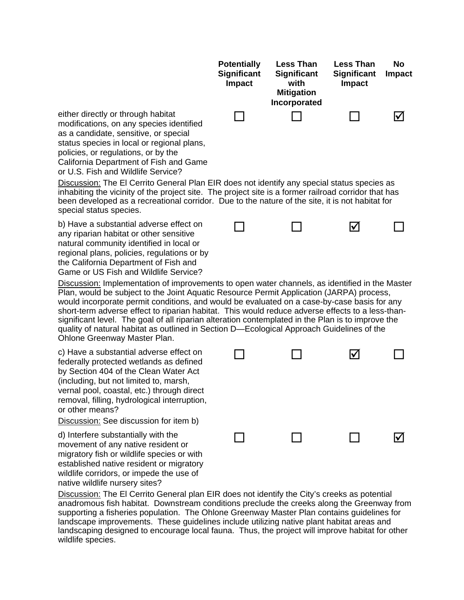|                                                                                                                                                                                                                                                                                              | <b>Potentially</b><br><b>Significant</b><br><b>Impact</b> | <b>Less Than</b><br><b>Significant</b><br>with<br><b>Mitigation</b><br>Incorporated | <b>Less Than</b><br><b>Significant</b><br><b>Impact</b> | No<br><b>Impact</b> |
|----------------------------------------------------------------------------------------------------------------------------------------------------------------------------------------------------------------------------------------------------------------------------------------------|-----------------------------------------------------------|-------------------------------------------------------------------------------------|---------------------------------------------------------|---------------------|
| either directly or through habitat<br>modifications, on any species identified<br>as a candidate, sensitive, or special<br>status species in local or regional plans,<br>policies, or regulations, or by the<br>California Department of Fish and Game<br>or U.S. Fish and Wildlife Service? |                                                           |                                                                                     |                                                         |                     |
| Discussion: The El Cerrito General Plan EIR does not identify any special status species as<br>inhabiting the vicinity of the project site. The project site is a former railroad corridor that has                                                                                          |                                                           |                                                                                     |                                                         |                     |

inhabiting the vicinity of the project site. The project site is a former railroad corridor that has been developed as a recreational corridor. Due to the nature of the site, it is not habitat for special status species.

b) Have a substantial adverse effect on any riparian habitat or other sensitive natural community identified in local or regional plans, policies, regulations or by the California Department of Fish and Game or US Fish and Wildlife Service?

Discussion: Implementation of improvements to open water channels, as identified in the Master Plan, would be subject to the Joint Aquatic Resource Permit Application (JARPA) process, would incorporate permit conditions, and would be evaluated on a case-by-case basis for any short-term adverse effect to riparian habitat. This would reduce adverse effects to a less-thansignificant level. The goal of all riparian alteration contemplated in the Plan is to improve the quality of natural habitat as outlined in Section D—Ecological Approach Guidelines of the Ohlone Greenway Master Plan.

c) Have a substantial adverse effect on federally protected wetlands as defined by Section 404 of the Clean Water Act (including, but not limited to, marsh, vernal pool, coastal, etc.) through direct removal, filling, hydrological interruption, or other means?

Discussion: See discussion for item b)

d) Interfere substantially with the movement of any native resident or migratory fish or wildlife species or with established native resident or migratory wildlife corridors, or impede the use of native wildlife nursery sites?

|        | $\begin{array}{ccccccccccccccccc} \Box & \Box & \Box & \Box & \Box & \Box \end{array}$ |  |
|--------|----------------------------------------------------------------------------------------|--|
| $\Box$ | $\begin{array}{ccc} & \square & \square & \square & \square \end{array}$               |  |

Discussion: The El Cerrito General plan EIR does not identify the City's creeks as potential anadromous fish habitat. Downstream conditions preclude the creeks along the Greenway from supporting a fisheries population. The Ohlone Greenway Master Plan contains guidelines for landscape improvements. These guidelines include utilizing native plant habitat areas and landscaping designed to encourage local fauna. Thus, the project will improve habitat for other wildlife species.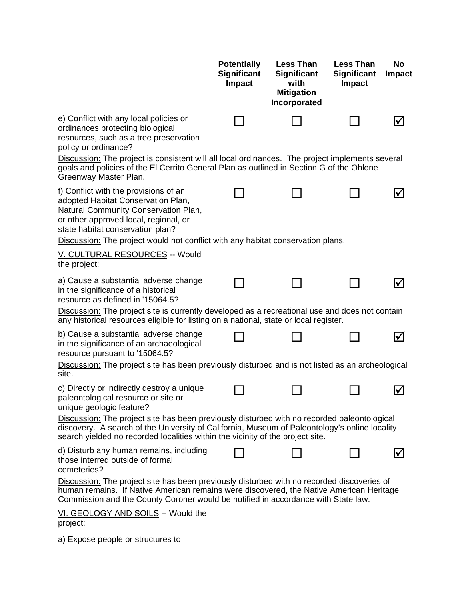|                                                                                                                                                                                                                                                                                   | <b>Potentially</b><br><b>Significant</b><br>Impact | <b>Less Than</b><br><b>Significant</b><br>with<br><b>Mitigation</b><br>Incorporated | <b>Less Than</b><br><b>Significant</b><br>Impact | No<br><b>Impact</b> |
|-----------------------------------------------------------------------------------------------------------------------------------------------------------------------------------------------------------------------------------------------------------------------------------|----------------------------------------------------|-------------------------------------------------------------------------------------|--------------------------------------------------|---------------------|
| e) Conflict with any local policies or<br>ordinances protecting biological<br>resources, such as a tree preservation<br>policy or ordinance?                                                                                                                                      |                                                    |                                                                                     |                                                  |                     |
| Discussion: The project is consistent will all local ordinances. The project implements several<br>goals and policies of the El Cerrito General Plan as outlined in Section G of the Ohlone<br>Greenway Master Plan.                                                              |                                                    |                                                                                     |                                                  |                     |
| f) Conflict with the provisions of an<br>adopted Habitat Conservation Plan,<br>Natural Community Conservation Plan,<br>or other approved local, regional, or<br>state habitat conservation plan?                                                                                  |                                                    |                                                                                     |                                                  |                     |
| Discussion: The project would not conflict with any habitat conservation plans.<br>V. CULTURAL RESOURCES -- Would                                                                                                                                                                 |                                                    |                                                                                     |                                                  |                     |
| the project:                                                                                                                                                                                                                                                                      |                                                    |                                                                                     |                                                  |                     |
| a) Cause a substantial adverse change<br>in the significance of a historical<br>resource as defined in '15064.5?                                                                                                                                                                  |                                                    |                                                                                     |                                                  |                     |
| Discussion: The project site is currently developed as a recreational use and does not contain<br>any historical resources eligible for listing on a national, state or local register.                                                                                           |                                                    |                                                                                     |                                                  |                     |
| b) Cause a substantial adverse change<br>in the significance of an archaeological<br>resource pursuant to '15064.5?                                                                                                                                                               |                                                    |                                                                                     |                                                  | l۷                  |
| Discussion: The project site has been previously disturbed and is not listed as an archeological<br>site.                                                                                                                                                                         |                                                    |                                                                                     |                                                  |                     |
| c) Directly or indirectly destroy a unique<br>paleontological resource or site or<br>unique geologic feature?                                                                                                                                                                     |                                                    |                                                                                     |                                                  | V                   |
| Discussion: The project site has been previously disturbed with no recorded paleontological<br>discovery. A search of the University of California, Museum of Paleontology's online locality<br>search yielded no recorded localities within the vicinity of the project site.    |                                                    |                                                                                     |                                                  |                     |
| d) Disturb any human remains, including<br>those interred outside of formal<br>cemeteries?                                                                                                                                                                                        |                                                    |                                                                                     |                                                  |                     |
| <b>Discussion:</b> The project site has been previously disturbed with no recorded discoveries of<br>human remains. If Native American remains were discovered, the Native American Heritage<br>Commission and the County Coroner would be notified in accordance with State law. |                                                    |                                                                                     |                                                  |                     |
| VI. GEOLOGY AND SOILS -- Would the<br>project:                                                                                                                                                                                                                                    |                                                    |                                                                                     |                                                  |                     |

a) Expose people or structures to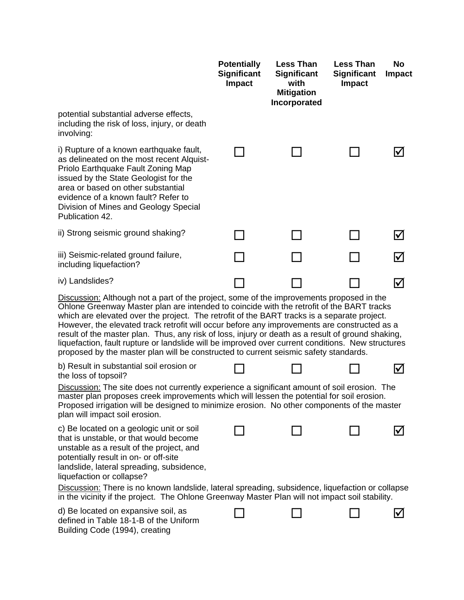|                                                                                                                                                                                                                                                                                                                                                                                                                                                                                                                                                                                                                                                                                        | <b>Potentially</b><br><b>Significant</b><br>Impact | <b>Less Than</b><br><b>Significant</b><br>with<br><b>Mitigation</b><br>Incorporated | <b>Less Than</b><br><b>Significant</b><br><b>Impact</b> | No<br><b>Impact</b>  |
|----------------------------------------------------------------------------------------------------------------------------------------------------------------------------------------------------------------------------------------------------------------------------------------------------------------------------------------------------------------------------------------------------------------------------------------------------------------------------------------------------------------------------------------------------------------------------------------------------------------------------------------------------------------------------------------|----------------------------------------------------|-------------------------------------------------------------------------------------|---------------------------------------------------------|----------------------|
| potential substantial adverse effects,<br>including the risk of loss, injury, or death<br>involving:                                                                                                                                                                                                                                                                                                                                                                                                                                                                                                                                                                                   |                                                    |                                                                                     |                                                         |                      |
| i) Rupture of a known earthquake fault,<br>as delineated on the most recent Alquist-<br>Priolo Earthquake Fault Zoning Map<br>issued by the State Geologist for the<br>area or based on other substantial<br>evidence of a known fault? Refer to<br>Division of Mines and Geology Special<br>Publication 42.                                                                                                                                                                                                                                                                                                                                                                           |                                                    |                                                                                     |                                                         | $\blacktriangledown$ |
| ii) Strong seismic ground shaking?                                                                                                                                                                                                                                                                                                                                                                                                                                                                                                                                                                                                                                                     |                                                    |                                                                                     |                                                         | $\bm{\triangledown}$ |
| iii) Seismic-related ground failure,<br>including liquefaction?                                                                                                                                                                                                                                                                                                                                                                                                                                                                                                                                                                                                                        |                                                    |                                                                                     |                                                         | $\bm{\nabla}$        |
| iv) Landslides?                                                                                                                                                                                                                                                                                                                                                                                                                                                                                                                                                                                                                                                                        |                                                    |                                                                                     |                                                         | $\boxtimes$          |
| Discussion: Although not a part of the project, some of the improvements proposed in the<br>Ohlone Greenway Master plan are intended to coincide with the retrofit of the BART tracks<br>which are elevated over the project. The retrofit of the BART tracks is a separate project.<br>However, the elevated track retrofit will occur before any improvements are constructed as a<br>result of the master plan. Thus, any risk of loss, injury or death as a result of ground shaking,<br>liquefaction, fault rupture or landslide will be improved over current conditions. New structures<br>proposed by the master plan will be constructed to current seismic safety standards. |                                                    |                                                                                     |                                                         |                      |
| b) Result in substantial soil erosion or<br>the loss of topsoil?                                                                                                                                                                                                                                                                                                                                                                                                                                                                                                                                                                                                                       |                                                    |                                                                                     |                                                         | $\bm{\triangledown}$ |
| Discussion: The site does not currently experience a significant amount of soil erosion. The<br>master plan proposes creek improvements which will lessen the potential for soil erosion.<br>Proposed irrigation will be designed to minimize erosion. No other components of the master<br>plan will impact soil erosion.                                                                                                                                                                                                                                                                                                                                                             |                                                    |                                                                                     |                                                         |                      |
| c) Be located on a geologic unit or soil<br>that is unstable, or that would become<br>unstable as a result of the project, and<br>potentially result in on- or off-site<br>landslide, lateral spreading, subsidence,<br>liquefaction or collapse?<br>Discussion: There is no known landslide, lateral spreading, subsidence, liquefaction or collapse                                                                                                                                                                                                                                                                                                                                  |                                                    |                                                                                     |                                                         | ⋈                    |
| in the vicinity if the project. The Ohlone Greenway Master Plan will not impact soil stability.<br>d) Be located on expansive soil, as                                                                                                                                                                                                                                                                                                                                                                                                                                                                                                                                                 |                                                    |                                                                                     |                                                         | V                    |
| defined in Table 18-1-B of the Uniform<br>Building Code (1994), creating                                                                                                                                                                                                                                                                                                                                                                                                                                                                                                                                                                                                               |                                                    |                                                                                     |                                                         |                      |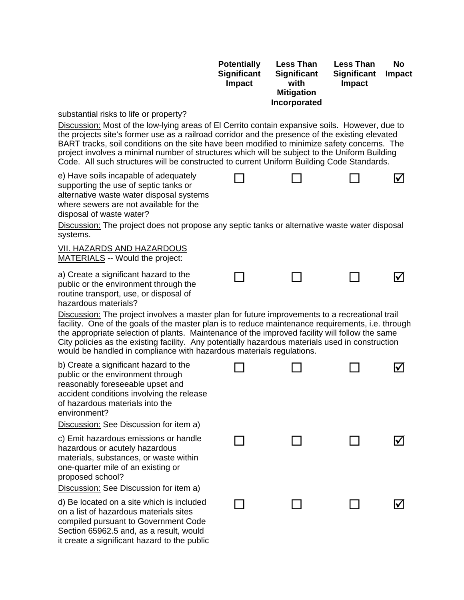|                                                                                                                                                                                                                                                                                                                                                                                                                                                                                   | <b>Potentially</b><br>Significant<br><b>Impact</b> | <b>Less Than</b><br><b>Significant</b><br>with<br><b>Mitigation</b><br>Incorporated | <b>Less Than</b><br><b>Significant</b><br>Impact | <b>No</b><br>Impact  |
|-----------------------------------------------------------------------------------------------------------------------------------------------------------------------------------------------------------------------------------------------------------------------------------------------------------------------------------------------------------------------------------------------------------------------------------------------------------------------------------|----------------------------------------------------|-------------------------------------------------------------------------------------|--------------------------------------------------|----------------------|
| substantial risks to life or property?<br>Discussion: Most of the low-lying areas of El Cerrito contain expansive soils. However, due to                                                                                                                                                                                                                                                                                                                                          |                                                    |                                                                                     |                                                  |                      |
| the projects site's former use as a railroad corridor and the presence of the existing elevated<br>BART tracks, soil conditions on the site have been modified to minimize safety concerns. The<br>project involves a minimal number of structures which will be subject to the Uniform Building<br>Code. All such structures will be constructed to current Uniform Building Code Standards.                                                                                     |                                                    |                                                                                     |                                                  |                      |
| e) Have soils incapable of adequately<br>supporting the use of septic tanks or<br>alternative waste water disposal systems<br>where sewers are not available for the<br>disposal of waste water?                                                                                                                                                                                                                                                                                  |                                                    |                                                                                     |                                                  | $\bm{\triangledown}$ |
| Discussion: The project does not propose any septic tanks or alternative waste water disposal<br>systems.                                                                                                                                                                                                                                                                                                                                                                         |                                                    |                                                                                     |                                                  |                      |
| <b>VII. HAZARDS AND HAZARDOUS</b><br>MATERIALS -- Would the project:                                                                                                                                                                                                                                                                                                                                                                                                              |                                                    |                                                                                     |                                                  |                      |
| a) Create a significant hazard to the<br>public or the environment through the<br>routine transport, use, or disposal of<br>hazardous materials?                                                                                                                                                                                                                                                                                                                                  |                                                    |                                                                                     |                                                  | $\blacktriangledown$ |
| Discussion: The project involves a master plan for future improvements to a recreational trail<br>facility. One of the goals of the master plan is to reduce maintenance requirements, i.e. through<br>the appropriate selection of plants. Maintenance of the improved facility will follow the same<br>City policies as the existing facility. Any potentially hazardous materials used in construction<br>would be handled in compliance with hazardous materials regulations. |                                                    |                                                                                     |                                                  |                      |
| b) Create a significant hazard to the<br>public or the environment through<br>reasonably foreseeable upset and<br>accident conditions involving the release<br>of hazardous materials into the<br>environment?<br>Discussion: See Discussion for item a)                                                                                                                                                                                                                          |                                                    |                                                                                     |                                                  | $\blacktriangledown$ |
| c) Emit hazardous emissions or handle<br>hazardous or acutely hazardous<br>materials, substances, or waste within<br>one-quarter mile of an existing or<br>proposed school?<br>Discussion: See Discussion for item a)                                                                                                                                                                                                                                                             |                                                    |                                                                                     |                                                  | $\blacktriangledown$ |
| d) Be located on a site which is included<br>on a list of hazardous materials sites<br>compiled pursuant to Government Code<br>Section 65962.5 and, as a result, would<br>it create a significant hazard to the public                                                                                                                                                                                                                                                            |                                                    |                                                                                     |                                                  | ⊻                    |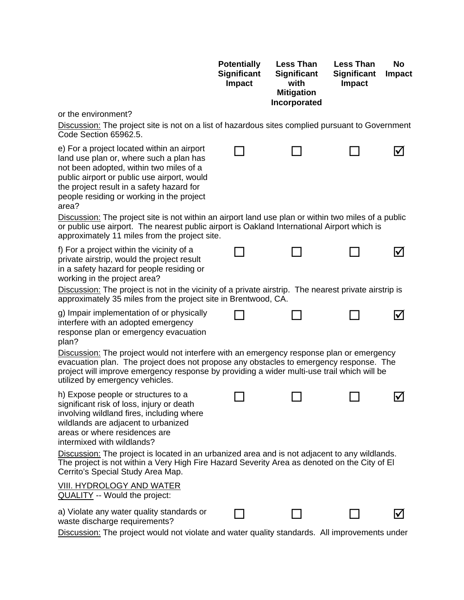|                                                                                                                                                                                                                                                                                                                     | <b>Potentially</b><br><b>Significant</b><br>Impact | <b>Less Than</b><br><b>Significant</b><br>with<br><b>Mitigation</b><br>Incorporated | <b>Less Than</b><br><b>Significant</b><br>Impact | No<br><b>Impact</b> |
|---------------------------------------------------------------------------------------------------------------------------------------------------------------------------------------------------------------------------------------------------------------------------------------------------------------------|----------------------------------------------------|-------------------------------------------------------------------------------------|--------------------------------------------------|---------------------|
| or the environment?                                                                                                                                                                                                                                                                                                 |                                                    |                                                                                     |                                                  |                     |
| <b>Discussion:</b> The project site is not on a list of hazardous sites complied pursuant to Government<br>Code Section 65962.5.                                                                                                                                                                                    |                                                    |                                                                                     |                                                  |                     |
| e) For a project located within an airport<br>land use plan or, where such a plan has<br>not been adopted, within two miles of a<br>public airport or public use airport, would<br>the project result in a safety hazard for<br>people residing or working in the project<br>area?                                  |                                                    |                                                                                     |                                                  |                     |
| Discussion: The project site is not within an airport land use plan or within two miles of a public<br>or public use airport. The nearest public airport is Oakland International Airport which is<br>approximately 11 miles from the project site.                                                                 |                                                    |                                                                                     |                                                  |                     |
| f) For a project within the vicinity of a<br>private airstrip, would the project result<br>in a safety hazard for people residing or<br>working in the project area?<br>Discussion: The project is not in the vicinity of a private airstrip. The nearest private airstrip is                                       |                                                    |                                                                                     |                                                  |                     |
| approximately 35 miles from the project site in Brentwood, CA.                                                                                                                                                                                                                                                      |                                                    |                                                                                     |                                                  |                     |
| g) Impair implementation of or physically<br>interfere with an adopted emergency<br>response plan or emergency evacuation<br>plan?                                                                                                                                                                                  |                                                    |                                                                                     |                                                  |                     |
| Discussion: The project would not interfere with an emergency response plan or emergency<br>evacuation plan. The project does not propose any obstacles to emergency response. The<br>project will improve emergency response by providing a wider multi-use trail which will be<br>utilized by emergency vehicles. |                                                    |                                                                                     |                                                  |                     |
| h) Expose people or structures to a<br>significant risk of loss, injury or death<br>involving wildland fires, including where<br>wildlands are adjacent to urbanized<br>areas or where residences are<br>intermixed with wildlands?                                                                                 |                                                    |                                                                                     |                                                  | ΙV                  |
| Discussion: The project is located in an urbanized area and is not adjacent to any wildlands.<br>The project is not within a Very High Fire Hazard Severity Area as denoted on the City of El<br>Cerrito's Special Study Area Map.                                                                                  |                                                    |                                                                                     |                                                  |                     |
| <u>VIII. HYDROLOGY AND WATER</u><br><b>QUALITY</b> -- Would the project:                                                                                                                                                                                                                                            |                                                    |                                                                                     |                                                  |                     |
| a) Violate any water quality standards or<br>waste discharge requirements?                                                                                                                                                                                                                                          |                                                    |                                                                                     |                                                  |                     |
| <b>Discussion:</b> The project would not violate and water quality standards. All improvements under                                                                                                                                                                                                                |                                                    |                                                                                     |                                                  |                     |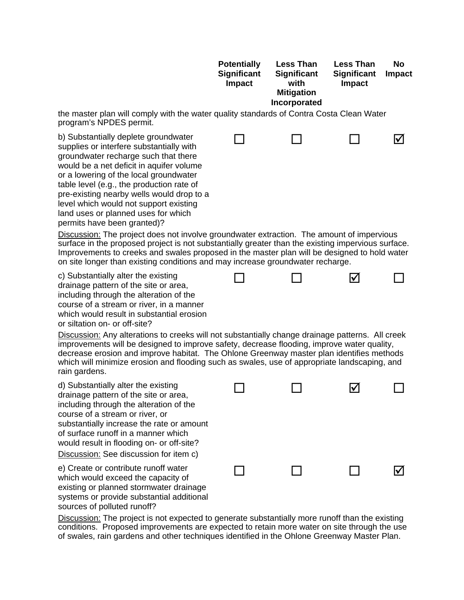|                                                                                                                                                                                                                                                                                                                                                                                                                          | <b>Potentially</b><br><b>Significant</b><br>Impact | <b>Less Than</b><br><b>Significant</b><br>with<br><b>Mitigation</b><br>Incorporated | <b>Less Than</b><br><b>Significant</b><br><b>Impact</b> | No<br><b>Impact</b> |
|--------------------------------------------------------------------------------------------------------------------------------------------------------------------------------------------------------------------------------------------------------------------------------------------------------------------------------------------------------------------------------------------------------------------------|----------------------------------------------------|-------------------------------------------------------------------------------------|---------------------------------------------------------|---------------------|
| the master plan will comply with the water quality standards of Contra Costa Clean Water<br>program's NPDES permit.                                                                                                                                                                                                                                                                                                      |                                                    |                                                                                     |                                                         |                     |
| b) Substantially deplete groundwater<br>supplies or interfere substantially with<br>groundwater recharge such that there<br>would be a net deficit in aquifer volume<br>or a lowering of the local groundwater<br>table level (e.g., the production rate of<br>pre-existing nearby wells would drop to a<br>level which would not support existing<br>land uses or planned uses for which<br>permits have been granted)? |                                                    |                                                                                     |                                                         |                     |
| Discussion: The project does not involve groundwater extraction. The amount of impervious<br>surface in the proposed project is not substantially greater than the existing impervious surface.<br>Improvements to creeks and swales proposed in the master plan will be designed to hold water<br>on site longer than existing conditions and may increase groundwater recharge.                                        |                                                    |                                                                                     |                                                         |                     |
| c) Substantially alter the existing<br>drainage pattern of the site or area,<br>including through the alteration of the<br>course of a stream or river, in a manner<br>which would result in substantial erosion<br>or siltation on- or off-site?                                                                                                                                                                        |                                                    |                                                                                     | V                                                       |                     |
| Discussion: Any alterations to creeks will not substantially change drainage patterns. All creek<br>improvements will be designed to improve safety, decrease flooding, improve water quality,<br>decrease erosion and improve habitat. The Ohlone Greenway master plan identifies methods<br>which will minimize erosion and flooding such as swales, use of appropriate landscaping, and<br>rain gardens.              |                                                    |                                                                                     |                                                         |                     |
| d) Substantially alter the existing<br>drainage pattern of the site or area,<br>including through the alteration of the<br>course of a stream or river, or<br>substantially increase the rate or amount<br>of surface runoff in a manner which<br>would result in flooding on- or off-site?<br>Discussion: See discussion for item c)                                                                                    |                                                    |                                                                                     | Ⅳ                                                       |                     |
| e) Create or contribute runoff water<br>which would exceed the capacity of<br>existing or planned stormwater drainage<br>systems or provide substantial additional<br>sources of polluted runoff?                                                                                                                                                                                                                        |                                                    |                                                                                     |                                                         | l۷                  |

Discussion: The project is not expected to generate substantially more runoff than the existing conditions. Proposed improvements are expected to retain more water on site through the use of swales, rain gardens and other techniques identified in the Ohlone Greenway Master Plan.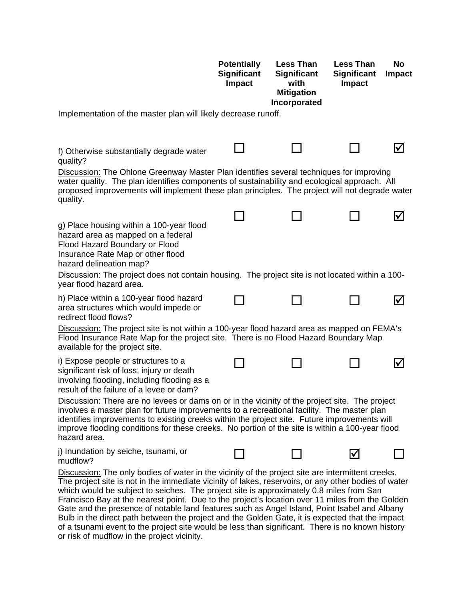| Implementation of the master plan will likely decrease runoff.                                                                                                                                                                                                                                                                                                                                                                                                                                                                                                                                                                                                                                                                                                | <b>Potentially</b><br><b>Significant</b><br><b>Impact</b>                                                                                                                                                                                                                                 | <b>Less Than</b><br><b>Significant</b><br>with<br><b>Mitigation</b><br>Incorporated | <b>Less Than</b><br><b>Significant</b><br>Impact | <b>No</b><br><b>Impact</b> |  |
|---------------------------------------------------------------------------------------------------------------------------------------------------------------------------------------------------------------------------------------------------------------------------------------------------------------------------------------------------------------------------------------------------------------------------------------------------------------------------------------------------------------------------------------------------------------------------------------------------------------------------------------------------------------------------------------------------------------------------------------------------------------|-------------------------------------------------------------------------------------------------------------------------------------------------------------------------------------------------------------------------------------------------------------------------------------------|-------------------------------------------------------------------------------------|--------------------------------------------------|----------------------------|--|
|                                                                                                                                                                                                                                                                                                                                                                                                                                                                                                                                                                                                                                                                                                                                                               |                                                                                                                                                                                                                                                                                           |                                                                                     |                                                  |                            |  |
| f) Otherwise substantially degrade water<br>quality?                                                                                                                                                                                                                                                                                                                                                                                                                                                                                                                                                                                                                                                                                                          |                                                                                                                                                                                                                                                                                           |                                                                                     |                                                  | V                          |  |
| quality.                                                                                                                                                                                                                                                                                                                                                                                                                                                                                                                                                                                                                                                                                                                                                      | Discussion: The Ohlone Greenway Master Plan identifies several techniques for improving<br>water quality. The plan identifies components of sustainability and ecological approach. All<br>proposed improvements will implement these plan principles. The project will not degrade water |                                                                                     |                                                  |                            |  |
| g) Place housing within a 100-year flood<br>hazard area as mapped on a federal<br>Flood Hazard Boundary or Flood<br>Insurance Rate Map or other flood<br>hazard delineation map?<br>Discussion: The project does not contain housing. The project site is not located within a 100-                                                                                                                                                                                                                                                                                                                                                                                                                                                                           |                                                                                                                                                                                                                                                                                           |                                                                                     |                                                  | V                          |  |
| year flood hazard area.                                                                                                                                                                                                                                                                                                                                                                                                                                                                                                                                                                                                                                                                                                                                       |                                                                                                                                                                                                                                                                                           |                                                                                     |                                                  |                            |  |
| h) Place within a 100-year flood hazard<br>area structures which would impede or<br>redirect flood flows?                                                                                                                                                                                                                                                                                                                                                                                                                                                                                                                                                                                                                                                     |                                                                                                                                                                                                                                                                                           |                                                                                     |                                                  | $\blacktriangledown$       |  |
| Discussion: The project site is not within a 100-year flood hazard area as mapped on FEMA's<br>Flood Insurance Rate Map for the project site. There is no Flood Hazard Boundary Map<br>available for the project site.                                                                                                                                                                                                                                                                                                                                                                                                                                                                                                                                        |                                                                                                                                                                                                                                                                                           |                                                                                     |                                                  |                            |  |
| i) Expose people or structures to a<br>significant risk of loss, injury or death<br>involving flooding, including flooding as a<br>result of the failure of a levee or dam?                                                                                                                                                                                                                                                                                                                                                                                                                                                                                                                                                                                   |                                                                                                                                                                                                                                                                                           |                                                                                     |                                                  | $\blacktriangledown$       |  |
| Discussion: There are no levees or dams on or in the vicinity of the project site. The project<br>involves a master plan for future improvements to a recreational facility. The master plan<br>identifies improvements to existing creeks within the project site. Future improvements will<br>improve flooding conditions for these creeks. No portion of the site is within a 100-year flood<br>hazard area.                                                                                                                                                                                                                                                                                                                                               |                                                                                                                                                                                                                                                                                           |                                                                                     |                                                  |                            |  |
| j) Inundation by seiche, tsunami, or<br>mudflow?                                                                                                                                                                                                                                                                                                                                                                                                                                                                                                                                                                                                                                                                                                              |                                                                                                                                                                                                                                                                                           |                                                                                     |                                                  |                            |  |
| Discussion: The only bodies of water in the vicinity of the project site are intermittent creeks.<br>The project site is not in the immediate vicinity of lakes, reservoirs, or any other bodies of water<br>which would be subject to seiches. The project site is approximately 0.8 miles from San<br>Francisco Bay at the nearest point. Due to the project's location over 11 miles from the Golden<br>Gate and the presence of notable land features such as Angel Island, Point Isabel and Albany<br>Bulb in the direct path between the project and the Golden Gate, it is expected that the impact<br>of a tsunami event to the project site would be less than significant. There is no known history<br>or risk of mudflow in the project vicinity. |                                                                                                                                                                                                                                                                                           |                                                                                     |                                                  |                            |  |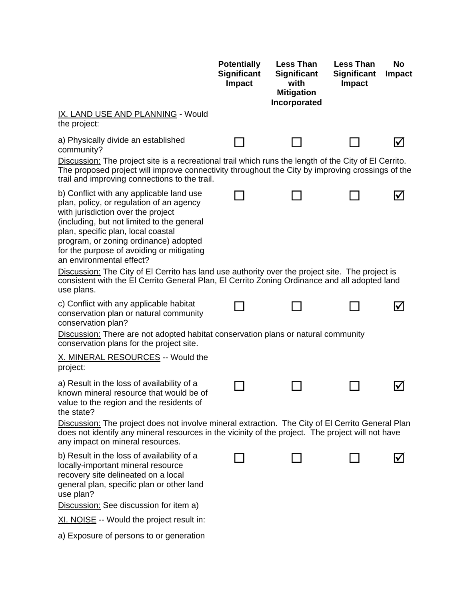|                                                                                                                                                                                                                                                                                                                                                                                                                                                                                                                                                    | <b>Potentially</b><br><b>Significant</b><br><b>Impact</b> | <b>Less Than</b><br><b>Significant</b><br>with<br><b>Mitigation</b><br>Incorporated | <b>Less Than</b><br><b>Significant</b><br>Impact | <b>No</b><br>Impact |
|----------------------------------------------------------------------------------------------------------------------------------------------------------------------------------------------------------------------------------------------------------------------------------------------------------------------------------------------------------------------------------------------------------------------------------------------------------------------------------------------------------------------------------------------------|-----------------------------------------------------------|-------------------------------------------------------------------------------------|--------------------------------------------------|---------------------|
| <b>IX. LAND USE AND PLANNING - Would</b><br>the project:                                                                                                                                                                                                                                                                                                                                                                                                                                                                                           |                                                           |                                                                                     |                                                  |                     |
| a) Physically divide an established<br>community?<br>Discussion: The project site is a recreational trail which runs the length of the City of El Cerrito.                                                                                                                                                                                                                                                                                                                                                                                         |                                                           |                                                                                     |                                                  |                     |
| The proposed project will improve connectivity throughout the City by improving crossings of the<br>trail and improving connections to the trail.                                                                                                                                                                                                                                                                                                                                                                                                  |                                                           |                                                                                     |                                                  |                     |
| b) Conflict with any applicable land use<br>plan, policy, or regulation of an agency<br>with jurisdiction over the project<br>(including, but not limited to the general<br>plan, specific plan, local coastal<br>program, or zoning ordinance) adopted<br>for the purpose of avoiding or mitigating<br>an environmental effect?<br>Discussion: The City of El Cerrito has land use authority over the project site. The project is<br>consistent with the El Cerrito General Plan, El Cerrito Zoning Ordinance and all adopted land<br>use plans. |                                                           |                                                                                     |                                                  | V                   |
| c) Conflict with any applicable habitat<br>conservation plan or natural community<br>conservation plan?                                                                                                                                                                                                                                                                                                                                                                                                                                            |                                                           |                                                                                     |                                                  | ⋈                   |
| <b>Discussion:</b> There are not adopted habitat conservation plans or natural community<br>conservation plans for the project site.                                                                                                                                                                                                                                                                                                                                                                                                               |                                                           |                                                                                     |                                                  |                     |
| X. MINERAL RESOURCES -- Would the<br>project:                                                                                                                                                                                                                                                                                                                                                                                                                                                                                                      |                                                           |                                                                                     |                                                  |                     |
| a) Result in the loss of availability of a<br>known mineral resource that would be of<br>value to the region and the residents of<br>the state?                                                                                                                                                                                                                                                                                                                                                                                                    |                                                           |                                                                                     |                                                  |                     |
| Discussion: The project does not involve mineral extraction. The City of El Cerrito General Plan<br>does not identify any mineral resources in the vicinity of the project. The project will not have<br>any impact on mineral resources.                                                                                                                                                                                                                                                                                                          |                                                           |                                                                                     |                                                  |                     |
| b) Result in the loss of availability of a<br>locally-important mineral resource<br>recovery site delineated on a local<br>general plan, specific plan or other land<br>use plan?                                                                                                                                                                                                                                                                                                                                                                  |                                                           |                                                                                     |                                                  | M                   |
| Discussion: See discussion for item a)<br>XI. NOISE -- Would the project result in:                                                                                                                                                                                                                                                                                                                                                                                                                                                                |                                                           |                                                                                     |                                                  |                     |
| a) Exposure of persons to or generation                                                                                                                                                                                                                                                                                                                                                                                                                                                                                                            |                                                           |                                                                                     |                                                  |                     |
|                                                                                                                                                                                                                                                                                                                                                                                                                                                                                                                                                    |                                                           |                                                                                     |                                                  |                     |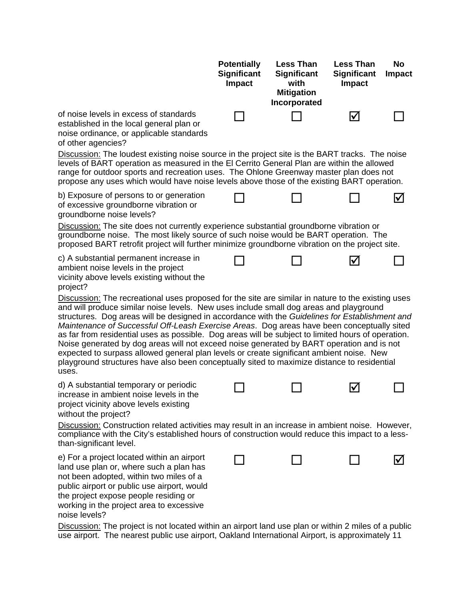|                                                                                                                                                                                                                                                                                                                                                                                                                                                                                                                                                                                                                                                                                                                                                                                                     | <b>Potentially</b><br><b>Significant</b><br><b>Impact</b> | <b>Less Than</b><br><b>Significant</b><br>with<br><b>Mitigation</b><br>Incorporated | <b>Less Than</b><br><b>Significant</b><br><b>Impact</b> | <b>No</b><br><b>Impact</b> |
|-----------------------------------------------------------------------------------------------------------------------------------------------------------------------------------------------------------------------------------------------------------------------------------------------------------------------------------------------------------------------------------------------------------------------------------------------------------------------------------------------------------------------------------------------------------------------------------------------------------------------------------------------------------------------------------------------------------------------------------------------------------------------------------------------------|-----------------------------------------------------------|-------------------------------------------------------------------------------------|---------------------------------------------------------|----------------------------|
| of noise levels in excess of standards<br>established in the local general plan or<br>noise ordinance, or applicable standards<br>of other agencies?                                                                                                                                                                                                                                                                                                                                                                                                                                                                                                                                                                                                                                                |                                                           |                                                                                     | $\blacktriangledown$                                    |                            |
| <b>Discussion:</b> The loudest existing noise source in the project site is the BART tracks. The noise<br>levels of BART operation as measured in the EI Cerrito General Plan are within the allowed<br>range for outdoor sports and recreation uses. The Ohlone Greenway master plan does not<br>propose any uses which would have noise levels above those of the existing BART operation.                                                                                                                                                                                                                                                                                                                                                                                                        |                                                           |                                                                                     |                                                         |                            |
| b) Exposure of persons to or generation<br>of excessive groundborne vibration or<br>groundborne noise levels?                                                                                                                                                                                                                                                                                                                                                                                                                                                                                                                                                                                                                                                                                       |                                                           |                                                                                     |                                                         |                            |
| Discussion: The site does not currently experience substantial groundborne vibration or<br>groundborne noise. The most likely source of such noise would be BART operation. The<br>proposed BART retrofit project will further minimize groundborne vibration on the project site.                                                                                                                                                                                                                                                                                                                                                                                                                                                                                                                  |                                                           |                                                                                     |                                                         |                            |
| c) A substantial permanent increase in<br>ambient noise levels in the project<br>vicinity above levels existing without the<br>project?                                                                                                                                                                                                                                                                                                                                                                                                                                                                                                                                                                                                                                                             |                                                           |                                                                                     | V                                                       |                            |
| Discussion: The recreational uses proposed for the site are similar in nature to the existing uses<br>and will produce similar noise levels. New uses include small dog areas and playground<br>structures. Dog areas will be designed in accordance with the Guidelines for Establishment and<br>Maintenance of Successful Off-Leash Exercise Areas. Dog areas have been conceptually sited<br>as far from residential uses as possible. Dog areas will be subject to limited hours of operation.<br>Noise generated by dog areas will not exceed noise generated by BART operation and is not<br>expected to surpass allowed general plan levels or create significant ambient noise. New<br>playground structures have also been conceptually sited to maximize distance to residential<br>uses. |                                                           |                                                                                     |                                                         |                            |
| d) A substantial temporary or periodic<br>increase in ambient noise levels in the<br>project vicinity above levels existing<br>without the project?                                                                                                                                                                                                                                                                                                                                                                                                                                                                                                                                                                                                                                                 |                                                           |                                                                                     | $\blacktriangledown$                                    |                            |
| Discussion: Construction related activities may result in an increase in ambient noise. However,<br>compliance with the City's established hours of construction would reduce this impact to a less-<br>than-significant level.                                                                                                                                                                                                                                                                                                                                                                                                                                                                                                                                                                     |                                                           |                                                                                     |                                                         |                            |
| e) For a project located within an airport<br>land use plan or, where such a plan has<br>not been adopted, within two miles of a<br>public airport or public use airport, would<br>the project expose people residing or<br>working in the project area to excessive<br>noise levels?                                                                                                                                                                                                                                                                                                                                                                                                                                                                                                               |                                                           |                                                                                     |                                                         |                            |
| Discussion: The project is not located within an airport land use plan or within 2 miles of a public<br>use airport. The nearest public use airport, Oakland International Airport, is approximately 11                                                                                                                                                                                                                                                                                                                                                                                                                                                                                                                                                                                             |                                                           |                                                                                     |                                                         |                            |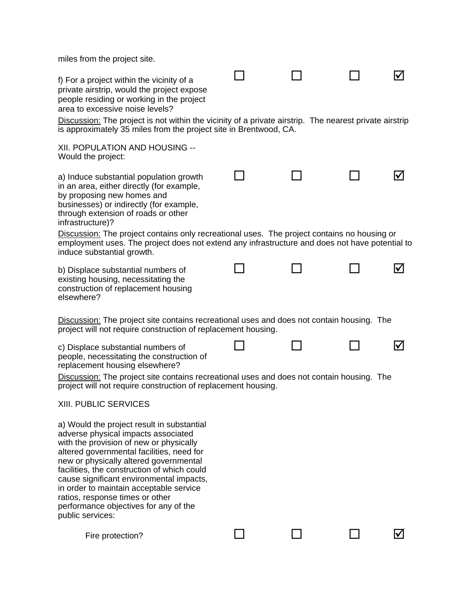| miles from the project site.                                                                                                                                                                                                                                                                                                                                                                                                                              |  |  |
|-----------------------------------------------------------------------------------------------------------------------------------------------------------------------------------------------------------------------------------------------------------------------------------------------------------------------------------------------------------------------------------------------------------------------------------------------------------|--|--|
| f) For a project within the vicinity of a<br>private airstrip, would the project expose<br>people residing or working in the project<br>area to excessive noise levels?                                                                                                                                                                                                                                                                                   |  |  |
| Discussion: The project is not within the vicinity of a private airstrip. The nearest private airstrip<br>is approximately 35 miles from the project site in Brentwood, CA.                                                                                                                                                                                                                                                                               |  |  |
| XII. POPULATION AND HOUSING --<br>Would the project:                                                                                                                                                                                                                                                                                                                                                                                                      |  |  |
| a) Induce substantial population growth<br>in an area, either directly (for example,<br>by proposing new homes and<br>businesses) or indirectly (for example,<br>through extension of roads or other<br>infrastructure)?                                                                                                                                                                                                                                  |  |  |
| Discussion: The project contains only recreational uses. The project contains no housing or<br>employment uses. The project does not extend any infrastructure and does not have potential to<br>induce substantial growth.                                                                                                                                                                                                                               |  |  |
| b) Displace substantial numbers of<br>existing housing, necessitating the<br>construction of replacement housing<br>elsewhere?                                                                                                                                                                                                                                                                                                                            |  |  |
| <b>Discussion:</b> The project site contains recreational uses and does not contain housing. The<br>project will not require construction of replacement housing.                                                                                                                                                                                                                                                                                         |  |  |
| c) Displace substantial numbers of<br>people, necessitating the construction of<br>replacement housing elsewhere?<br>Discussion: The project site contains recreational uses and does not contain housing. The<br>project will not require construction of replacement housing.                                                                                                                                                                           |  |  |
| <b>XIII. PUBLIC SERVICES</b>                                                                                                                                                                                                                                                                                                                                                                                                                              |  |  |
| a) Would the project result in substantial<br>adverse physical impacts associated<br>with the provision of new or physically<br>altered governmental facilities, need for<br>new or physically altered governmental<br>facilities, the construction of which could<br>cause significant environmental impacts,<br>in order to maintain acceptable service<br>ratios, response times or other<br>performance objectives for any of the<br>public services: |  |  |
| Fire protection?                                                                                                                                                                                                                                                                                                                                                                                                                                          |  |  |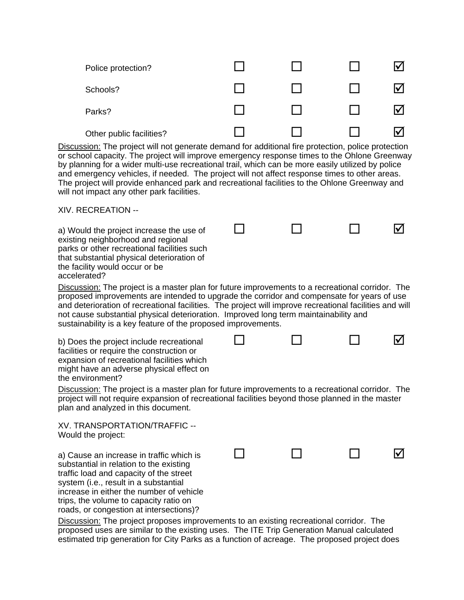| Police protection?       |  |  |
|--------------------------|--|--|
| Schools?                 |  |  |
| Parks?                   |  |  |
| Other public facilities? |  |  |

Discussion: The project will not generate demand for additional fire protection, police protection or school capacity. The project will improve emergency response times to the Ohlone Greenway by planning for a wider multi-use recreational trail, which can be more easily utilized by police and emergency vehicles, if needed. The project will not affect response times to other areas. The project will provide enhanced park and recreational facilities to the Ohlone Greenway and will not impact any other park facilities.

 $\begin{array}{ccccccccccccccccc} \Box & \hspace{1.5cm} & \Box & \hspace{1.5cm} & \Box & \hspace{1.5cm} & \Box & \hspace{1.5cm} & \Box \hspace{1.5cm} & \end{array}$ 

 $\begin{array}{ccccccccccccccccc} \Box & \hspace{1.5cm} & \Box & \hspace{1.5cm} & \Box & \hspace{1.5cm} & \Box & \hspace{1.5cm} & \Box \hspace{1.5cm} & \end{array}$ 

 $\begin{array}{ccccccccccccccccc} \Box & \hspace{1.5cm} & \Box & \hspace{1.5cm} & \Box & \hspace{1.5cm} & \Box & \hspace{1.5cm} & \Box \hspace{1.5cm} & \end{array}$ 

XIV. RECREATION --

a) Would the project increase the use of existing neighborhood and regional parks or other recreational facilities such that substantial physical deterioration of the facility would occur or be accelerated?

Discussion: The project is a master plan for future improvements to a recreational corridor. The proposed improvements are intended to upgrade the corridor and compensate for years of use and deterioration of recreational facilities. The project will improve recreational facilities and will not cause substantial physical deterioration. Improved long term maintainability and sustainability is a key feature of the proposed improvements.

b) Does the project include recreational facilities or require the construction or expansion of recreational facilities which might have an adverse physical effect on the environment?

Discussion: The project is a master plan for future improvements to a recreational corridor. The project will not require expansion of recreational facilities beyond those planned in the master plan and analyzed in this document.

XV. TRANSPORTATION/TRAFFIC -- Would the project:

a) Cause an increase in traffic which is substantial in relation to the existing traffic load and capacity of the street system (i.e., result in a substantial increase in either the number of vehicle trips, the volume to capacity ratio on roads, or congestion at intersections)?

Discussion: The project proposes improvements to an existing recreational corridor. The proposed uses are similar to the existing uses. The ITE Trip Generation Manual calculated estimated trip generation for City Parks as a function of acreage. The proposed project does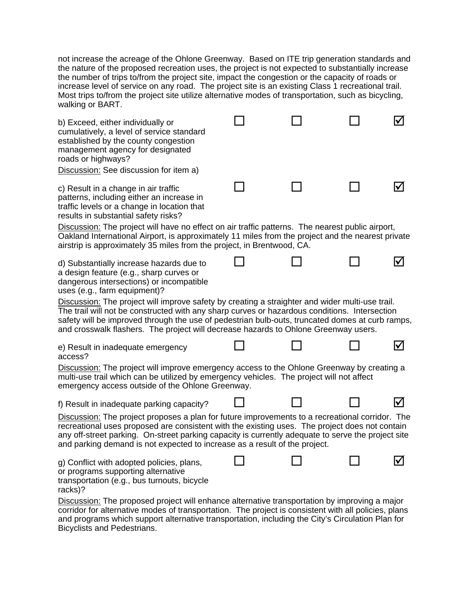not increase the acreage of the Ohlone Greenway. Based on ITE trip generation standards and the nature of the proposed recreation uses, the project is not expected to substantially increase the number of trips to/from the project site, impact the congestion or the capacity of roads or increase level of service on any road. The project site is an existing Class 1 recreational trail. Most trips to/from the project site utilize alternative modes of transportation, such as bicycling, walking or BART.

| b) Exceed, either individually or<br>cumulatively, a level of service standard<br>established by the county congestion<br>management agency for designated<br>roads or highways?<br>Discussion: See discussion for item a)                                                                                                                                                                 |  |    |
|--------------------------------------------------------------------------------------------------------------------------------------------------------------------------------------------------------------------------------------------------------------------------------------------------------------------------------------------------------------------------------------------|--|----|
| c) Result in a change in air traffic<br>patterns, including either an increase in<br>traffic levels or a change in location that<br>results in substantial safety risks?                                                                                                                                                                                                                   |  |    |
| Discussion: The project will have no effect on air traffic patterns. The nearest public airport,<br>Oakland International Airport, is approximately 11 miles from the project and the nearest private<br>airstrip is approximately 35 miles from the project, in Brentwood, CA.                                                                                                            |  |    |
| d) Substantially increase hazards due to<br>a design feature (e.g., sharp curves or<br>dangerous intersections) or incompatible<br>uses (e.g., farm equipment)?                                                                                                                                                                                                                            |  |    |
| Discussion: The project will improve safety by creating a straighter and wider multi-use trail.<br>The trail will not be constructed with any sharp curves or hazardous conditions. Intersection<br>safety will be improved through the use of pedestrian bulb-outs, truncated domes at curb ramps,<br>and crosswalk flashers. The project will decrease hazards to Ohlone Greenway users. |  |    |
| e) Result in inadequate emergency<br>access?                                                                                                                                                                                                                                                                                                                                               |  | I√ |
| Discussion: The project will improve emergency access to the Ohlone Greenway by creating a<br>multi-use trail which can be utilized by emergency vehicles. The project will not affect<br>emergency access outside of the Ohlone Greenway.                                                                                                                                                 |  |    |
| f) Result in inadequate parking capacity?                                                                                                                                                                                                                                                                                                                                                  |  |    |
| Discussion: The project proposes a plan for future improvements to a recreational corridor. The<br>recreational uses proposed are consistent with the existing uses. The project does not contain<br>any off-street parking. On-street parking capacity is currently adequate to serve the project site<br>and parking demand is not expected to increase as a result of the project.      |  |    |
| g) Conflict with adopted policies, plans,<br>or programs supporting alternative<br>transportation (e.g., bus turnouts, bicycle<br>racks)?                                                                                                                                                                                                                                                  |  |    |
| Discussion: The proposed project will enhance alternative transportation by improving a major<br>corridor for alternative modes of transportation. The project is consistent with all policies, plans<br>and programs which support alternative transportation, including the City's Circulation Plan for                                                                                  |  |    |

Bicyclists and Pedestrians.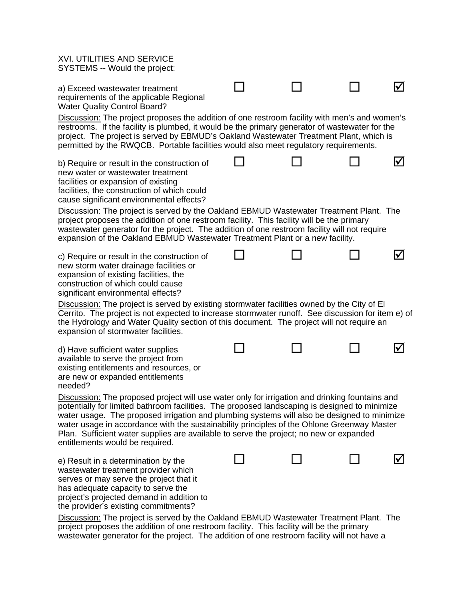| <b>XVI. UTILITIES AND SERVICE</b><br>SYSTEMS -- Would the project:                                                                                                                                                                                                                                                                                                                                                                                                                                                        |  |  |  |  |
|---------------------------------------------------------------------------------------------------------------------------------------------------------------------------------------------------------------------------------------------------------------------------------------------------------------------------------------------------------------------------------------------------------------------------------------------------------------------------------------------------------------------------|--|--|--|--|
| a) Exceed wastewater treatment<br>requirements of the applicable Regional<br><b>Water Quality Control Board?</b>                                                                                                                                                                                                                                                                                                                                                                                                          |  |  |  |  |
| Discussion: The project proposes the addition of one restroom facility with men's and women's<br>restrooms. If the facility is plumbed, it would be the primary generator of wastewater for the<br>project. The project is served by EBMUD's Oakland Wastewater Treatment Plant, which is<br>permitted by the RWQCB. Portable facilities would also meet regulatory requirements.                                                                                                                                         |  |  |  |  |
| b) Require or result in the construction of<br>new water or wastewater treatment<br>facilities or expansion of existing<br>facilities, the construction of which could<br>cause significant environmental effects?                                                                                                                                                                                                                                                                                                        |  |  |  |  |
| Discussion: The project is served by the Oakland EBMUD Wastewater Treatment Plant. The<br>project proposes the addition of one restroom facility. This facility will be the primary<br>wastewater generator for the project. The addition of one restroom facility will not require<br>expansion of the Oakland EBMUD Wastewater Treatment Plant or a new facility.                                                                                                                                                       |  |  |  |  |
| c) Require or result in the construction of<br>new storm water drainage facilities or<br>expansion of existing facilities, the<br>construction of which could cause<br>significant environmental effects?                                                                                                                                                                                                                                                                                                                 |  |  |  |  |
| Discussion: The project is served by existing stormwater facilities owned by the City of El<br>Cerrito. The project is not expected to increase stormwater runoff. See discussion for item e) of<br>the Hydrology and Water Quality section of this document. The project will not require an<br>expansion of stormwater facilities.                                                                                                                                                                                      |  |  |  |  |
| d) Have sufficient water supplies<br>available to serve the project from<br>existing entitlements and resources, or<br>are new or expanded entitlements<br>needed?                                                                                                                                                                                                                                                                                                                                                        |  |  |  |  |
| Discussion: The proposed project will use water only for irrigation and drinking fountains and<br>potentially for limited bathroom facilities. The proposed landscaping is designed to minimize<br>water usage. The proposed irrigation and plumbing systems will also be designed to minimize<br>water usage in accordance with the sustainability principles of the Ohlone Greenway Master<br>Plan. Sufficient water supplies are available to serve the project; no new or expanded<br>entitlements would be required. |  |  |  |  |
| e) Result in a determination by the<br>wastewater treatment provider which<br>serves or may serve the project that it<br>has adequate capacity to serve the<br>project's projected demand in addition to<br>the provider's existing commitments?                                                                                                                                                                                                                                                                          |  |  |  |  |
| Discussion: The project is served by the Oakland EBMUD Wastewater Treatment Plant. The<br>project proposes the addition of one restroom facility. This facility will be the primary<br>wastewater generator for the project. The addition of one restroom facility will not have a                                                                                                                                                                                                                                        |  |  |  |  |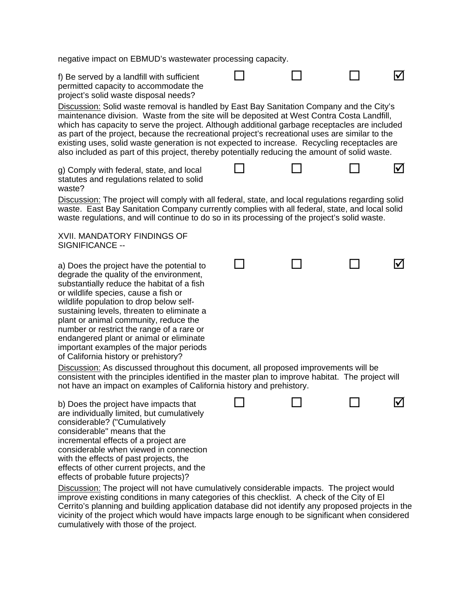negative impact on EBMUD's wastewater processing capacity.

f) Be served by a landfill with sufficient permitted capacity to accommodate the project's solid waste disposal needs?  $\begin{array}{ccccccccccccccccc} \Box & \hspace{1.5cm} & \Box & \hspace{1.5cm} & \Box & \hspace{1.5cm} & \Box & \hspace{1.5cm} & \Box \hspace{1.5cm} & \end{array}$ Discussion: Solid waste removal is handled by East Bay Sanitation Company and the City's maintenance division. Waste from the site will be deposited at West Contra Costa Landfill, which has capacity to serve the project. Although additional garbage receptacles are included as part of the project, because the recreational project's recreational uses are similar to the existing uses, solid waste generation is not expected to increase. Recycling receptacles are also included as part of this project, thereby potentially reducing the amount of solid waste. g) Comply with federal, state, and local statutes and regulations related to solid waste?  $\begin{array}{ccccccccccccccccc} \Box & \hspace{1.5cm} & \Box & \hspace{1.5cm} & \Box & \hspace{1.5cm} & \Box & \hspace{1.5cm} & \Box \hspace{1.5cm} & \end{array}$ Discussion: The project will comply with all federal, state, and local regulations regarding solid waste. East Bay Sanitation Company currently complies with all federal, state, and local solid waste regulations, and will continue to do so in its processing of the project's solid waste. XVII. MANDATORY FINDINGS OF SIGNIFICANCE - a) Does the project have the potential to degrade the quality of the environment, substantially reduce the habitat of a fish or wildlife species, cause a fish or wildlife population to drop below selfsustaining levels, threaten to eliminate a plant or animal community, reduce the number or restrict the range of a rare or endangered plant or animal or eliminate important examples of the major periods of California history or prehistory?  $\begin{array}{ccccccccccccccccc} \Box & \hspace{1.5cm} & \Box & \hspace{1.5cm} & \Box & \hspace{1.5cm} & \Box & \hspace{1.5cm} & \Box \hspace{1.5cm} & \end{array}$ Discussion: As discussed throughout this document, all proposed improvements will be consistent with the principles identified in the master plan to improve habitat. The project will not have an impact on examples of California history and prehistory. b) Does the project have impacts that are individually limited, but cumulatively considerable? ("Cumulatively considerable" means that the incremental effects of a project are considerable when viewed in connection with the effects of past projects, the effects of other current projects, and the effects of probable future projects)?  $\begin{array}{ccccccccccccccccc} \Box & \hspace{1.5cm} & \Box & \hspace{1.5cm} & \Box & \hspace{1.5cm} & \Box & \hspace{1.5cm} & \Box \hspace{1.5cm} & \end{array}$ Discussion: The project will not have cumulatively considerable impacts. The project would improve existing conditions in many categories of this checklist. A check of the City of El Cerrito's planning and building application database did not identify any proposed projects in the vicinity of the project which would have impacts large enough to be significant when considered cumulatively with those of the project.